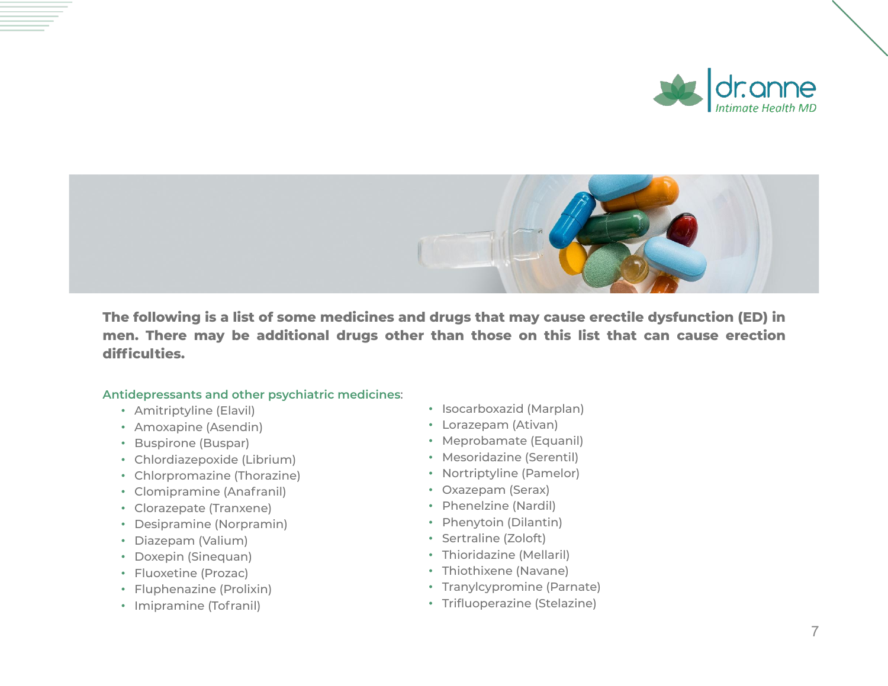



**The following is a list of some medicines and drugs that may cause erectile dysfunction (ED) in men. There may be additional drugs other than those on this list that can cause erection difficulties.**

## **Antidepressants and other psychiatric medicines**:

- Amitriptyline (Elavil)
- Amoxapine (Asendin)
- Buspirone (Buspar)
- Chlordiazepoxide (Librium)
- Chlorpromazine (Thorazine)
- Clomipramine (Anafranil)
- Clorazepate (Tranxene)
- Desipramine (Norpramin)
- Diazepam (Valium)
- Doxepin (Sinequan)
- Fluoxetine (Prozac)
- Fluphenazine (Prolixin)
- Imipramine (Tofranil)
- Isocarboxazid (Marplan)
- Lorazepam (Ativan)
- Meprobamate (Equanil)
- Mesoridazine (Serentil)
- Nortriptyline (Pamelor)
- Oxazepam (Serax)
- Phenelzine (Nardil)
- Phenytoin (Dilantin)
- Sertraline (Zoloft)
- Thioridazine (Mellaril)
- Thiothixene (Navane)
- Tranylcypromine (Parnate)
- Trifluoperazine (Stelazine)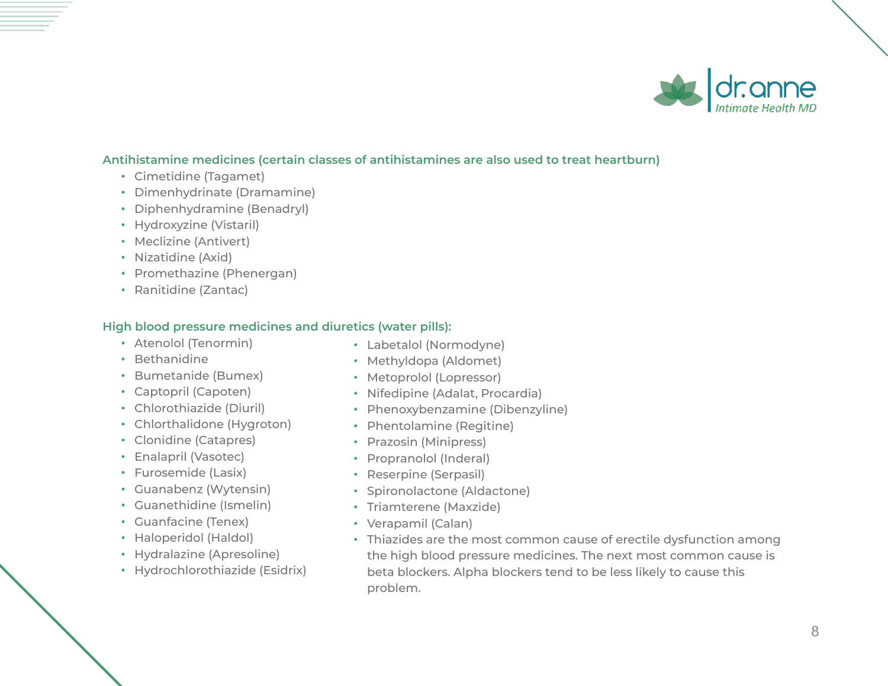

### **Antihistamine medicines (certain classes of antihistamines are also used to treat heartburn)**

- Cimetidine (Tagamet)
- Dimenhydrinate (Dramamine)
- Diphenhydramine (Benadryl)
- Hydroxyzine (Vistaril)
- Meclizine (Antivert)
- Nizatidine (Axid)
- Promethazine (Phenergan)
- Ranitidine (Zantac)

#### **High blood pressure medicines and diuretics (water pills):**

- Atenolol (Tenormin)
- Bethanidine
- Bumetanide (Bumex)
- Captopril (Capoten)
- Chlorothiazide (Diuril)
- Chlorthalidone (Hygroton)
- Clonidine (Catapres)
- Enalapril (Vasotec)
- Furosemide (Lasix)
- Guanabenz (Wytensin)
- Guanethidine (Ismelin)
- Guanfacine (Tenex)
- Haloperidol (Haldol)
- Hydralazine (Apresoline)
- Hydrochlorothiazide (Esidrix)
- Labetalol (Normodyne)
- Methyldopa (Aldomet)
- Metoprolol (Lopressor)
- Nifedipine (Adalat, Procardia)
- Phenoxybenzamine (Dibenzyline)
- Phentolamine (Regitine)
- Prazosin (Minipress)
- Propranolol (Inderal)
- Reserpine (Serpasil)
- Spironolactone (Aldactone)
- Triamterene (Maxzide)
- Verapamil (Calan)
- Thiazides are the most common cause of erectile dysfunction among the high blood pressure medicines. The next most common cause is beta blockers. Alpha blockers tend to be less likely to cause this problem.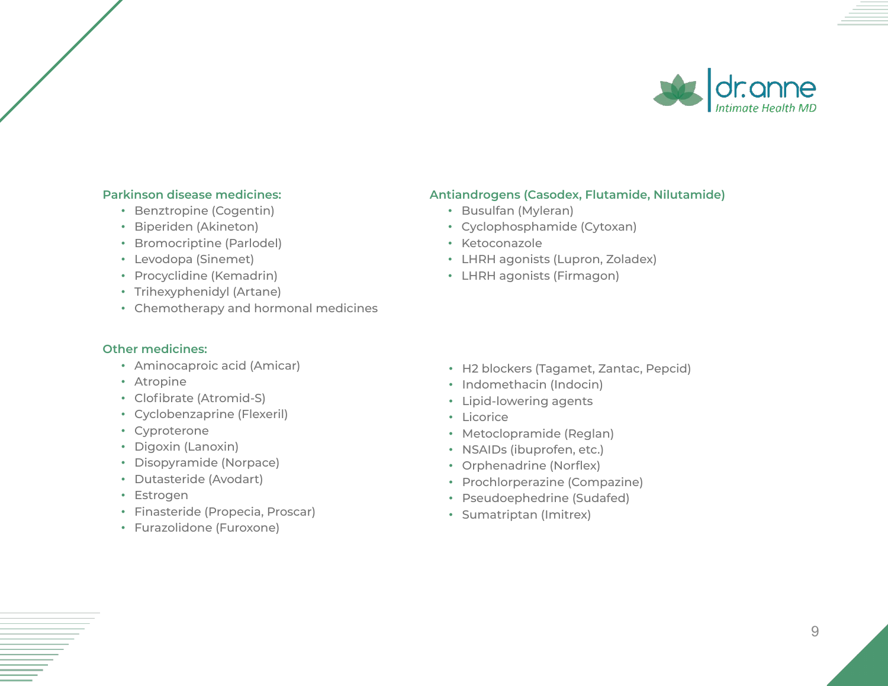

### **Parkinson disease medicines:**

- Benztropine (Cogentin)
- Biperiden (Akineton)
- Bromocriptine (Parlodel)
- Levodopa (Sinemet)
- Procyclidine (Kemadrin)
- Trihexyphenidyl (Artane)
- Chemotherapy and hormonal medicines

#### **Other medicines:**

- Aminocaproic acid (Amicar)
- Atropine
- Clofibrate (Atromid-S)
- Cyclobenzaprine (Flexeril)
- Cyproterone
- Digoxin (Lanoxin)
- Disopyramide (Norpace)
- Dutasteride (Avodart)
- Estrogen
- Finasteride (Propecia, Proscar)
- Furazolidone (Furoxone)

## **Antiandrogens (Casodex, Flutamide, Nilutamide)**

- Busulfan (Myleran)
- Cyclophosphamide (Cytoxan)
- Ketoconazole
- LHRH agonists (Lupron, Zoladex)
- LHRH agonists (Firmagon)

- H2 blockers (Tagamet, Zantac, Pepcid)
- Indomethacin (Indocin)
- Lipid-lowering agents
- Licorice
- Metoclopramide (Reglan)
- NSAIDs (ibuprofen, etc.)
- Orphenadrine (Norflex)
- Prochlorperazine (Compazine)
- Pseudoephedrine (Sudafed)
- Sumatriptan (Imitrex)